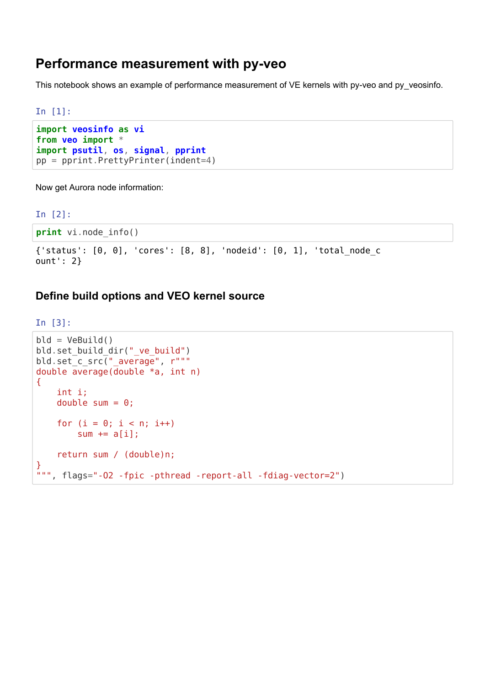# **Performance measurement with py-veo**

This notebook shows an example of performance measurement of VE kernels with py-veo and py\_veosinfo.

```
In [1]:
```

```
import veosinfo as vi
from veo import *
import psutil, os, signal, pprint
pp = pprint.PrettyPrinter(indent=4)
```
Now get Aurora node information:

In [2]:

**print** vi.node\_info()

```
{'status': [0, 0], 'cores': [8, 8], 'nodeid': [0, 1], 'total_node_c
ount': 2}
```
# **Define build options and VEO kernel source**

In [3]:

```
bld = VeBuild()bld.set_build_dir("_ve_build")
bld.set_c_src("_average", r"""
double average(double *a, int n)
{
     int i;
    double sum = 0;
    for (i = 0; i < n; i++)sum += a[i]; return sum / (double)n;
}
""", flags="-O2 -fpic -pthread -report-all -fdiag-vector=2")
```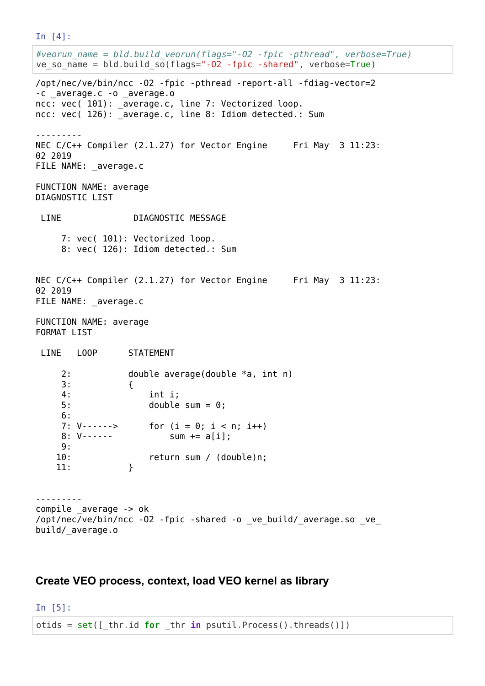In [4]: *#veorun\_name = bld.build\_veorun(flags="-O2 -fpic -pthread", verbose=True)* ve so name = bld.build  $so(flags="-02 -fpic -shared", verbose=True)$ /opt/nec/ve/bin/ncc -O2 -fpic -pthread -report-all -fdiag-vector=2 -c \_average.c -o \_average.o ncc: vec( 101): \_average.c, line 7: Vectorized loop. ncc: vec( 126): average.c, line 8: Idiom detected.: Sum --------- NEC C/C++ Compiler (2.1.27) for Vector Engine Fri May 3 11:23: 02 2019 FILE NAME: \_average.c FUNCTION NAME: average DIAGNOSTIC LIST LINE DIAGNOSTIC MESSAGE 7: vec( 101): Vectorized loop. 8: vec( 126): Idiom detected.: Sum NEC C/C++ Compiler (2.1.27) for Vector Engine Fri May 3 11:23: 02 2019 FILE NAME: \_average.c FUNCTION NAME: average FORMAT LIST LINE LOOP STATEMENT 2: double average(double \*a, int n) 3: { 4: int i; 5: double sum = 0; 6: 7:  $V$ ------> for  $(i = 0; i < n; i++)$ <br>8:  $V$ ------ sum += a[i]:  $sum$  +=  $a[i]$ ;  $Q_{\cdot}$  10: return sum / (double)n; 11: } -------- compile \_average -> ok /opt/nec/ve/bin/ncc -O2 -fpic -shared -o \_ve\_build/\_average.so \_ve\_

## **Create VEO process, context, load VEO kernel as library**

In [5]:

build/\_average.o

otids = set([\_thr.id **for** \_thr **in** psutil.Process().threads()])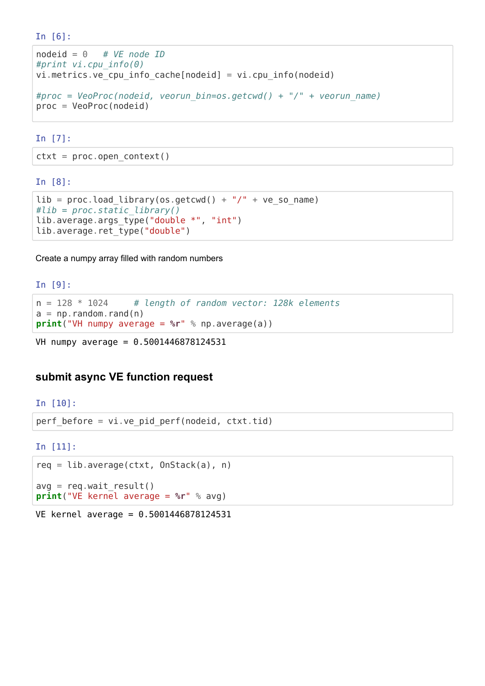In [6]:

```
nodeid = 0 # VE node ID
#print vi.cpu_info(0)
vi.metrics.ve_cpu_info_cache[nodeid] = vi.cpu_info(nodeid)
#proc = VeoProc(nodeid, veorun_bin=os.getcwd() + "/" + veorun_name)
proc = VeoProc(nodeid)
```
In [7]:

 $ctxt = proc.open context()$ 

In [8]:

```
lib = proc.load library(os.getcwd() + "/* + ve-so_name)#lib = proc.static_library()
lib.average.args_type("double *", "int")
lib.average.ret type("double")
```
Create a numpy array filled with random numbers

In [9]:

```
n = 128 * 1024 # length of random vector: 128k elements
a = np.random.randn(n)print("VH numpy average = %r" % np.average(a))
```

```
VH numpy average = 0.5001446878124531
```
## **submit async VE function request**

In [10]:

perf\_before = vi.ve\_pid\_perf(nodeid, ctxt.tid)

In [11]:

```
req = lib-average(ctxt, OnStack(a), n)avg = req.wait result()print("VE kernel average = %r" % avg)
```
VE kernel average = 0.5001446878124531